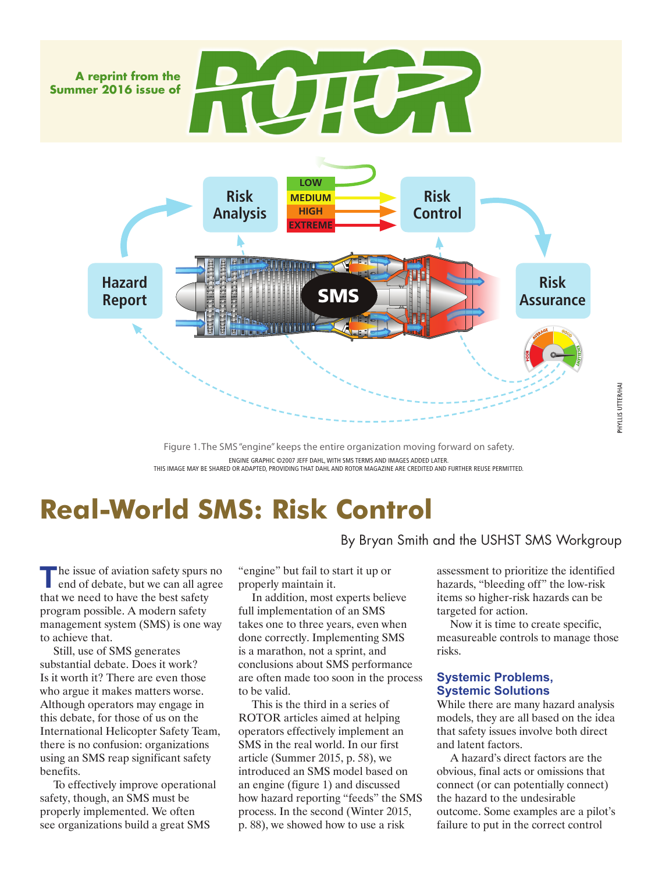

Figure 1. The SMS "engine" keeps the entire organization moving forward on safety. ENGINE GRAPHIC ©2007 JEFF DAHL, WITH SMS TERMS AND IMAGES ADDED LATER. THIS IMAGE MAY BE SHARED OR ADAPTED, PROVIDING THAT DAHL AND ROTOR MAGAZINE ARE CREDITED AND FURTHER REUSE PERMITTED.

# **Real-World SMS: Risk Control**

**T** he issue of aviation safety spurs no<br>
end of debate, but we can all agree that we need to have the best safety program possible. A modern safety management system (SMS) is one way to achieve that.

Still, use of SMS generates substantial debate. Does it work? Is it worth it? There are even those who argue it makes matters worse. Although operators may engage in this debate, for those of us on the International Helicopter Safety Team, there is no confusion: organizations using an SMS reap significant safety benefits.

To effectively improve operational safety, though, an SMS must be properly implemented. We often see organizations build a great SMS

"engine" but fail to start it up or properly maintain it.

In addition, most experts believe full implementation of an SMS takes one to three years, even when done correctly. Implementing SMS is a marathon, not a sprint, and conclusions about SMS performance are often made too soon in the process to be valid.

This is the third in a series of ROTOR articles aimed at helping operators effectively implement an SMS in the real world. In our first article (Summer 2015, p. 58), we introduced an SMS model based on an engine (figure 1) and discussed how hazard reporting "feeds" the SMS process. In the second (Winter 2015, p. 88), we showed how to use a risk

assessment to prioritize the identified hazards, "bleeding off" the low-risk items so higher-risk hazards can be targeted for action.

Now it is time to create specific, measureable controls to manage those risks.

### **Systemic Problems, Systemic Solutions**

By Bryan Smith and the USHST SMS Workgroup

While there are many hazard analysis models, they are all based on the idea that safety issues involve both direct and latent factors.

A hazard's direct factors are the obvious, final acts or omissions that connect (or can potentially connect) the hazard to the undesirable outcome. Some examples are a pilot's failure to put in the correct control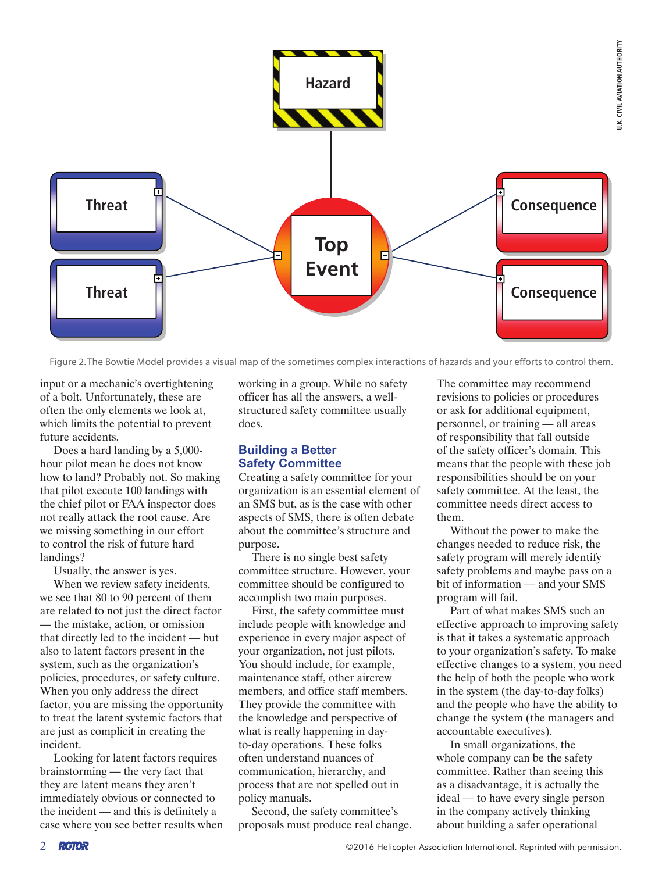

Figure 2. The Bowtie Model provides a visual map of the sometimes complex interactions of hazards and your efforts to control them.

input or a mechanic's overtightening of a bolt. Unfortunately, these are often the only elements we look at, which limits the potential to prevent future accidents.

Does a hard landing by a 5,000 hour pilot mean he does not know how to land? Probably not. So making that pilot execute 100 landings with the chief pilot or FAA inspector does not really attack the root cause. Are we missing something in our effort to control the risk of future hard landings?

Usually, the answer is yes.

When we review safety incidents, we see that 80 to 90 percent of them are related to not just the direct factor — the mistake, action, or omission that directly led to the incident — but also to latent factors present in the system, such as the organization's policies, procedures, or safety culture. When you only address the direct factor, you are missing the opportunity to treat the latent systemic factors that are just as complicit in creating the incident.

Looking for latent factors requires brainstorming — the very fact that they are latent means they aren't immediately obvious or connected to the incident — and this is definitely a case where you see better results when working in a group. While no safety officer has all the answers, a wellstructured safety committee usually does.

### **Building a Better Safety Committee**

Creating a safety committee for your organization is an essential element of an SMS but, as is the case with other aspects of SMS, there is often debate about the committee's structure and purpose.

There is no single best safety committee structure. However, your committee should be configured to accomplish two main purposes.

First, the safety committee must include people with knowledge and experience in every major aspect of your organization, not just pilots. You should include, for example, maintenance staff, other aircrew members, and office staff members. They provide the committee with the knowledge and perspective of what is really happening in dayto-day operations. These folks often understand nuances of communication, hierarchy, and process that are not spelled out in policy manuals.

Second, the safety committee's proposals must produce real change. The committee may recommend revisions to policies or procedures or ask for additional equipment, personnel, or training — all areas of responsibility that fall outside of the safety officer's domain. This means that the people with these job responsibilities should be on your safety committee. At the least, the committee needs direct access to them.

Without the power to make the changes needed to reduce risk, the safety program will merely identify safety problems and maybe pass on a bit of information — and your SMS program will fail.

Part of what makes SMS such an effective approach to improving safety is that it takes a systematic approach to your organization's safety. To make effective changes to a system, you need the help of both the people who work in the system (the day-to-day folks) and the people who have the ability to change the system (the managers and accountable executives).

In small organizations, the whole company can be the safety committee. Rather than seeing this as a disadvantage, it is actually the ideal — to have every single person in the company actively thinking about building a safer operational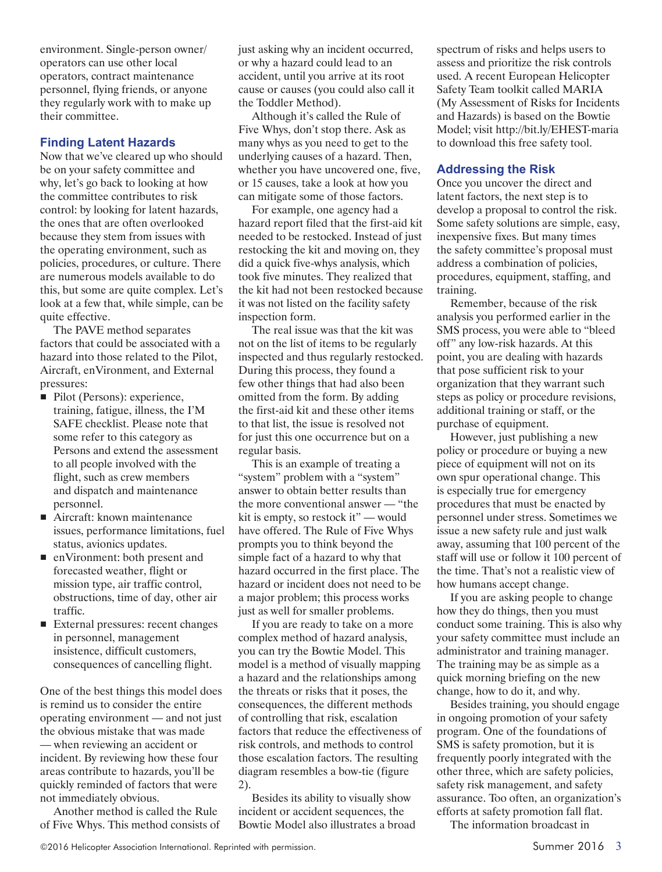environment. Single-person owner/ operators can use other local operators, contract maintenance personnel, flying friends, or anyone they regularly work with to make up their committee.

## **Finding Latent Hazards**

Now that we've cleared up who should be on your safety committee and why, let's go back to looking at how the committee contributes to risk control: by looking for latent hazards, the ones that are often overlooked because they stem from issues with the operating environment, such as policies, procedures, or culture. There are numerous models available to do this, but some are quite complex. Let's look at a few that, while simple, can be quite effective.

The PAVE method separates factors that could be associated with a hazard into those related to the Pilot, Aircraft, enVironment, and External pressures:

- Pilot (Persons): experience, training, fatigue, illness, the I'M SAFE checklist. Please note that some refer to this category as Persons and extend the assessment to all people involved with the flight, such as crew members and dispatch and maintenance personnel.
- Aircraft: known maintenance issues, performance limitations, fuel status, avionics updates.
- enVironment: both present and forecasted weather, flight or mission type, air traffic control, obstructions, time of day, other air traffic.
- External pressures: recent changes in personnel, management insistence, difficult customers, consequences of cancelling flight.

One of the best things this model does is remind us to consider the entire operating environment — and not just the obvious mistake that was made — when reviewing an accident or incident. By reviewing how these four areas contribute to hazards, you'll be quickly reminded of factors that were not immediately obvious.

Another method is called the Rule of Five Whys. This method consists of just asking why an incident occurred, or why a hazard could lead to an accident, until you arrive at its root cause or causes (you could also call it the Toddler Method).

Although it's called the Rule of Five Whys, don't stop there. Ask as many whys as you need to get to the underlying causes of a hazard. Then, whether you have uncovered one, five, or 15 causes, take a look at how you can mitigate some of those factors.

For example, one agency had a hazard report filed that the first-aid kit needed to be restocked. Instead of just restocking the kit and moving on, they did a quick five-whys analysis, which took five minutes. They realized that the kit had not been restocked because it was not listed on the facility safety inspection form.

The real issue was that the kit was not on the list of items to be regularly inspected and thus regularly restocked. During this process, they found a few other things that had also been omitted from the form. By adding the first-aid kit and these other items to that list, the issue is resolved not for just this one occurrence but on a regular basis.

This is an example of treating a "system" problem with a "system" answer to obtain better results than the more conventional answer — "the kit is empty, so restock it" — would have offered. The Rule of Five Whys prompts you to think beyond the simple fact of a hazard to why that hazard occurred in the first place. The hazard or incident does not need to be a major problem; this process works just as well for smaller problems.

If you are ready to take on a more complex method of hazard analysis, you can try the Bowtie Model. This model is a method of visually mapping a hazard and the relationships among the threats or risks that it poses, the consequences, the different methods of controlling that risk, escalation factors that reduce the effectiveness of risk controls, and methods to control those escalation factors. The resulting diagram resembles a bow-tie (figure 2).

Besides its ability to visually show incident or accident sequences, the Bowtie Model also illustrates a broad spectrum of risks and helps users to assess and prioritize the risk controls used. A recent European Helicopter Safety Team toolkit called MARIA (My Assessment of Risks for Incidents and Hazards) is based on the Bowtie Model; visit http://bit.ly/EHEST-maria to download this free safety tool.

#### **Addressing the Risk**

Once you uncover the direct and latent factors, the next step is to develop a proposal to control the risk. Some safety solutions are simple, easy, inexpensive fixes. But many times the safety committee's proposal must address a combination of policies, procedures, equipment, staffing, and training.

Remember, because of the risk analysis you performed earlier in the SMS process, you were able to "bleed off" any low-risk hazards. At this point, you are dealing with hazards that pose sufficient risk to your organization that they warrant such steps as policy or procedure revisions, additional training or staff, or the purchase of equipment.

However, just publishing a new policy or procedure or buying a new piece of equipment will not on its own spur operational change. This is especially true for emergency procedures that must be enacted by personnel under stress. Sometimes we issue a new safety rule and just walk away, assuming that 100 percent of the staff will use or follow it 100 percent of the time. That's not a realistic view of how humans accept change.

If you are asking people to change how they do things, then you must conduct some training. This is also why your safety committee must include an administrator and training manager. The training may be as simple as a quick morning briefing on the new change, how to do it, and why.

Besides training, you should engage in ongoing promotion of your safety program. One of the foundations of SMS is safety promotion, but it is frequently poorly integrated with the other three, which are safety policies, safety risk management, and safety assurance. Too often, an organization's efforts at safety promotion fall flat.

The information broadcast in